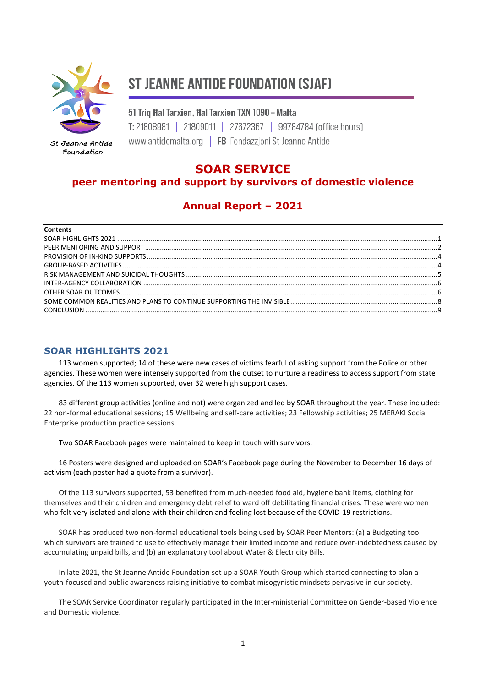

St Jeanne Antide Foundation

# **ST JEANNE ANTIDE FOUNDATION (SJAF)**

51 Trig Hal Tarxien, Hal Tarxien TXN 1090 - Malta T: 21808981 | 21809011 | 27672367 | 99784784 [office hours] www.antidemalta.org | FB Fondazzioni St Jeanne Antide

## **SOAR SERVICE**

## **peer mentoring and support by survivors of domestic violence**

# **Annual Report – 2021**

| <b>Contents</b> |  |
|-----------------|--|
|                 |  |
|                 |  |
|                 |  |
|                 |  |
|                 |  |
|                 |  |
|                 |  |
|                 |  |
|                 |  |
|                 |  |

#### <span id="page-0-0"></span>**SOAR HIGHLIGHTS 2021**

113 women supported; 14 of these were new cases of victims fearful of asking support from the Police or other agencies. These women were intensely supported from the outset to nurture a readiness to access support from state agencies. Of the 113 women supported, over 32 were high support cases.

83 different group activities (online and not) were organized and led by SOAR throughout the year. These included: 22 non-formal educational sessions; 15 Wellbeing and self-care activities; 23 Fellowship activities; 25 MERAKI Social Enterprise production practice sessions.

Two SOAR Facebook pages were maintained to keep in touch with survivors.

16 Posters were designed and uploaded on SOAR's Facebook page during the November to December 16 days of activism (each poster had a quote from a survivor).

Of the 113 survivors supported, 53 benefited from much-needed food aid, hygiene bank items, clothing for themselves and their children and emergency debt relief to ward off debilitating financial crises. These were women who felt very isolated and alone with their children and feeling lost because of the COVID-19 restrictions.

SOAR has produced two non-formal educational tools being used by SOAR Peer Mentors: (a) a Budgeting tool which survivors are trained to use to effectively manage their limited income and reduce over-indebtedness caused by accumulating unpaid bills, and (b) an explanatory tool about Water & Electricity Bills.

In late 2021, the St Jeanne Antide Foundation set up a SOAR Youth Group which started connecting to plan a youth-focused and public awareness raising initiative to combat misogynistic mindsets pervasive in our society.

The SOAR Service Coordinator regularly participated in the Inter-ministerial Committee on Gender-based Violence and Domestic violence.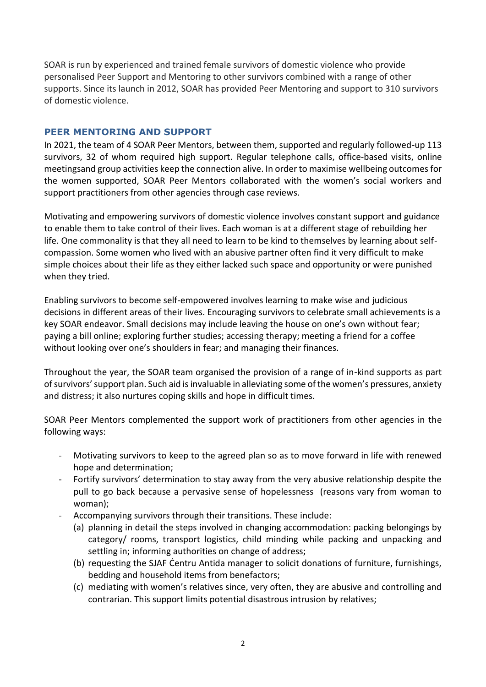SOAR is run by experienced and trained female survivors of domestic violence who provide personalised Peer Support and Mentoring to other survivors combined with a range of other supports. Since its launch in 2012, SOAR has provided Peer Mentoring and support to 310 survivors of domestic violence.

#### <span id="page-1-0"></span>**PEER MENTORING AND SUPPORT**

In 2021, the team of 4 SOAR Peer Mentors, between them, supported and regularly followed-up 113 survivors, 32 of whom required high support. Regular telephone calls, office-based visits, online meetingsand group activities keep the connection alive. In order to maximise wellbeing outcomes for the women supported, SOAR Peer Mentors collaborated with the women's social workers and support practitioners from other agencies through case reviews.

Motivating and empowering survivors of domestic violence involves constant support and guidance to enable them to take control of their lives. Each woman is at a different stage of rebuilding her life. One commonality is that they all need to learn to be kind to themselves by learning about selfcompassion. Some women who lived with an abusive partner often find it very difficult to make simple choices about their life as they either lacked such space and opportunity or were punished when they tried.

Enabling survivors to become self-empowered involves learning to make wise and judicious decisions in different areas of their lives. Encouraging survivors to celebrate small achievements is a key SOAR endeavor. Small decisions may include leaving the house on one's own without fear; paying a bill online; exploring further studies; accessing therapy; meeting a friend for a coffee without looking over one's shoulders in fear; and managing their finances.

Throughout the year, the SOAR team organised the provision of a range of in-kind supports as part of survivors' support plan. Such aid is invaluable in alleviating some of the women's pressures, anxiety and distress; it also nurtures coping skills and hope in difficult times.

SOAR Peer Mentors complemented the support work of practitioners from other agencies in the following ways:

- Motivating survivors to keep to the agreed plan so as to move forward in life with renewed hope and determination;
- Fortify survivors' determination to stay away from the very abusive relationship despite the pull to go back because a pervasive sense of hopelessness (reasons vary from woman to woman);
- Accompanying survivors through their transitions. These include:
	- (a) planning in detail the steps involved in changing accommodation: packing belongings by category/ rooms, transport logistics, child minding while packing and unpacking and settling in; informing authorities on change of address;
	- (b) requesting the SJAF Ċentru Antida manager to solicit donations of furniture, furnishings, bedding and household items from benefactors;
	- (c) mediating with women's relatives since, very often, they are abusive and controlling and contrarian. This support limits potential disastrous intrusion by relatives;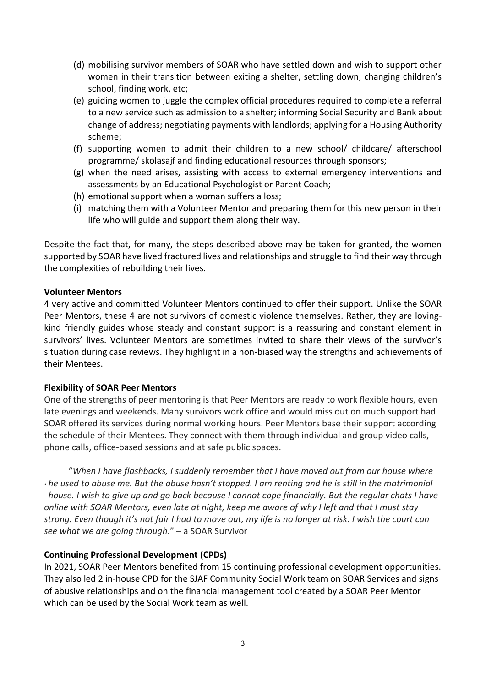- (d) mobilising survivor members of SOAR who have settled down and wish to support other women in their transition between exiting a shelter, settling down, changing children's school, finding work, etc;
- (e) guiding women to juggle the complex official procedures required to complete a referral to a new service such as admission to a shelter; informing Social Security and Bank about change of address; negotiating payments with landlords; applying for a Housing Authority scheme;
- (f) supporting women to admit their children to a new school/ childcare/ afterschool programme/ skolasajf and finding educational resources through sponsors;
- (g) when the need arises, assisting with access to external emergency interventions and assessments by an Educational Psychologist or Parent Coach;
- (h) emotional support when a woman suffers a loss;
- (i) matching them with a Volunteer Mentor and preparing them for this new person in their life who will guide and support them along their way.

Despite the fact that, for many, the steps described above may be taken for granted, the women supported by SOAR have lived fractured lives and relationships and struggle to find their way through the complexities of rebuilding their lives.

#### **Volunteer Mentors**

4 very active and committed Volunteer Mentors continued to offer their support. Unlike the SOAR Peer Mentors, these 4 are not survivors of domestic violence themselves. Rather, they are lovingkind friendly guides whose steady and constant support is a reassuring and constant element in survivors' lives. Volunteer Mentors are sometimes invited to share their views of the survivor's situation during case reviews. They highlight in a non-biased way the strengths and achievements of their Mentees.

#### **Flexibility of SOAR Peer Mentors**

One of the strengths of peer mentoring is that Peer Mentors are ready to work flexible hours, even late evenings and weekends. Many survivors work office and would miss out on much support had SOAR offered its services during normal working hours. Peer Mentors base their support according the schedule of their Mentees. They connect with them through individual and group video calls, phone calls, office-based sessions and at safe public spaces.

 "*When I have flashbacks, I suddenly remember that I have moved out from our house where he used to abuse me. But the abuse hasn't stopped. I am renting and he is still in the matrimonial*  . *house. I wish to give up and go back because I cannot cope financially. But the regular chats I have online with SOAR Mentors, even late at night, keep me aware of why I left and that I must stay strong. Even though it's not fair I had to move out, my life is no longer at risk. I wish the court can see what we are going through*." – a SOAR Survivor

#### **Continuing Professional Development (CPDs)**

In 2021, SOAR Peer Mentors benefited from 15 continuing professional development opportunities. They also led 2 in-house CPD for the SJAF Community Social Work team on SOAR Services and signs of abusive relationships and on the financial management tool created by a SOAR Peer Mentor which can be used by the Social Work team as well.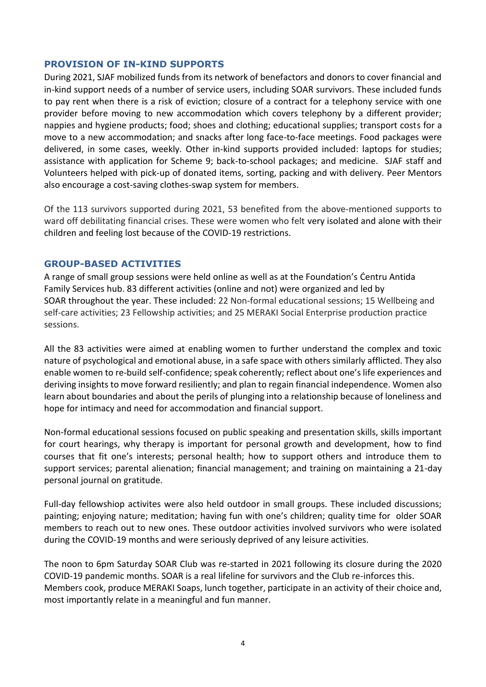#### <span id="page-3-0"></span>**PROVISION OF IN-KIND SUPPORTS**

During 2021, SJAF mobilized funds from its network of benefactors and donors to cover financial and in-kind support needs of a number of service users, including SOAR survivors. These included funds to pay rent when there is a risk of eviction; closure of a contract for a telephony service with one provider before moving to new accommodation which covers telephony by a different provider; nappies and hygiene products; food; shoes and clothing; educational supplies; transport costs for a move to a new accommodation; and snacks after long face-to-face meetings. Food packages were delivered, in some cases, weekly. Other in-kind supports provided included: laptops for studies; assistance with application for Scheme 9; back-to-school packages; and medicine. SJAF staff and Volunteers helped with pick-up of donated items, sorting, packing and with delivery. Peer Mentors also encourage a cost-saving clothes-swap system for members.

Of the 113 survivors supported during 2021, 53 benefited from the above-mentioned supports to ward off debilitating financial crises. These were women who felt very isolated and alone with their children and feeling lost because of the COVID-19 restrictions.

#### <span id="page-3-1"></span>**GROUP-BASED ACTIVITIES**

A range of small group sessions were held online as well as at the Foundation's Ċentru Antida Family Services hub. 83 different activities (online and not) were organized and led by SOAR throughout the year. These included: 22 Non-formal educational sessions; 15 Wellbeing and self-care activities; 23 Fellowship activities; and 25 MERAKI Social Enterprise production practice sessions.

All the 83 activities were aimed at enabling women to further understand the complex and toxic nature of psychological and emotional abuse, in a safe space with others similarly afflicted. They also enable women to re-build self-confidence; speak coherently; reflect about one's life experiences and deriving insights to move forward resiliently; and plan to regain financial independence. Women also learn about boundaries and about the perils of plunging into a relationship because of loneliness and hope for intimacy and need for accommodation and financial support.

Non-formal educational sessions focused on public speaking and presentation skills, skills important for court hearings, why therapy is important for personal growth and development, how to find courses that fit one's interests; personal health; how to support others and introduce them to support services; parental alienation; financial management; and training on maintaining a 21-day personal journal on gratitude.

Full-day fellowshiop activites were also held outdoor in small groups. These included discussions; painting; enjoying nature; meditation; having fun with one's children; quality time for older SOAR members to reach out to new ones. These outdoor activities involved survivors who were isolated during the COVID-19 months and were seriously deprived of any leisure activities.

The noon to 6pm Saturday SOAR Club was re-started in 2021 following its closure during the 2020 COVID-19 pandemic months. SOAR is a real lifeline for survivors and the Club re-inforces this. Members cook, produce MERAKI Soaps, lunch together, participate in an activity of their choice and, most importantly relate in a meaningful and fun manner.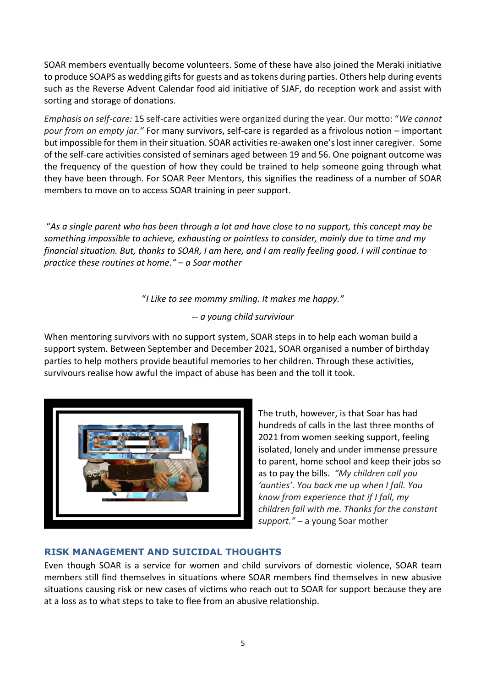SOAR members eventually become volunteers. Some of these have also joined the Meraki initiative to produce SOAPS as wedding gifts for guests and as tokens during parties. Others help during events such as the Reverse Advent Calendar food aid initiative of SJAF, do reception work and assist with sorting and storage of donations.

*Emphasis on self-care:* 15 self-care activities were organized during the year. Our motto: "*We cannot pour from an empty jar."* For many survivors, self-care is regarded as a frivolous notion – important but impossible for them in their situation. SOAR activities re-awaken one's lost inner caregiver. Some of the self-care activities consisted of seminars aged between 19 and 56. One poignant outcome was the frequency of the question of how they could be trained to help someone going through what they have been through. For SOAR Peer Mentors, this signifies the readiness of a number of SOAR members to move on to access SOAR training in peer support.

"*As a single parent who has been through a lot and have close to no support, this concept may be something impossible to achieve, exhausting or pointless to consider, mainly due to time and my financial situation. But, thanks to SOAR, I am here, and I am really feeling good. I will continue to practice these routines at home." – a Soar mother*

"*I Like to see mommy smiling. It makes me happy."*

*-- a young child surviviour*

When mentoring survivors with no support system, SOAR steps in to help each woman build a support system. Between September and December 2021, SOAR organised a number of birthday parties to help mothers provide beautiful memories to her children. Through these activities, survivours realise how awful the impact of abuse has been and the toll it took.



The truth, however, is that Soar has had hundreds of calls in the last three months of 2021 from women seeking support, feeling isolated, lonely and under immense pressure to parent, home school and keep their jobs so as to pay the bills. *"My children call you 'aunties'. You back me up when I fall. You know from experience that if I fall, my children fall with me. Thanks for the constant support." –* a young Soar mother

## <span id="page-4-0"></span>**RISK MANAGEMENT AND SUICIDAL THOUGHTS**

Even though SOAR is a service for women and child survivors of domestic violence, SOAR team members still find themselves in situations where SOAR members find themselves in new abusive situations causing risk or new cases of victims who reach out to SOAR for support because they are at a loss as to what steps to take to flee from an abusive relationship.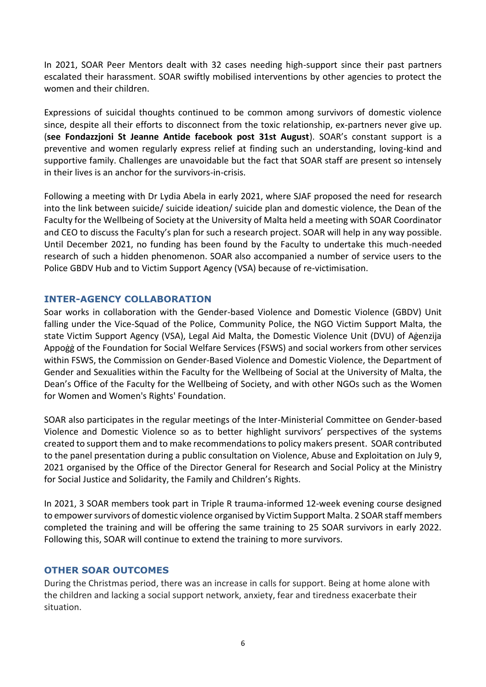In 2021, SOAR Peer Mentors dealt with 32 cases needing high-support since their past partners escalated their harassment. SOAR swiftly mobilised interventions by other agencies to protect the women and their children.

Expressions of suicidal thoughts continued to be common among survivors of domestic violence since, despite all their efforts to disconnect from the toxic relationship, ex-partners never give up. (**see Fondazzjoni St Jeanne Antide facebook post 31st August**). SOAR's constant support is a preventive and women regularly express relief at finding such an understanding, loving-kind and supportive family. Challenges are unavoidable but the fact that SOAR staff are present so intensely in their lives is an anchor for the survivors-in-crisis.

Following a meeting with Dr Lydia Abela in early 2021, where SJAF proposed the need for research into the link between suicide/ suicide ideation/ suicide plan and domestic violence, the Dean of the Faculty for the Wellbeing of Society at the University of Malta held a meeting with SOAR Coordinator and CEO to discuss the Faculty's plan for such a research project. SOAR will help in any way possible. Until December 2021, no funding has been found by the Faculty to undertake this much-needed research of such a hidden phenomenon. SOAR also accompanied a number of service users to the Police GBDV Hub and to Victim Support Agency (VSA) because of re-victimisation.

#### <span id="page-5-0"></span>**INTER-AGENCY COLLABORATION**

Soar works in collaboration with the Gender-based Violence and Domestic Violence (GBDV) Unit falling under the Vice-Squad of the Police, Community Police, the NGO Victim Support Malta, the state Victim Support Agency (VSA), Legal Aid Malta, the Domestic Violence Unit (DVU) of Aġenzija Appoġġ of the Foundation for Social Welfare Services (FSWS) and social workers from other services within FSWS, the Commission on Gender-Based Violence and Domestic Violence, the Department of Gender and Sexualities within the Faculty for the Wellbeing of Social at the University of Malta, the Dean's Office of the Faculty for the Wellbeing of Society, and with other NGOs such as the Women for Women and Women's Rights' Foundation.

SOAR also participates in the regular meetings of the Inter-Ministerial Committee on Gender-based Violence and Domestic Violence so as to better highlight survivors' perspectives of the systems created to support them and to make recommendations to policy makers present. SOAR contributed to the panel presentation during a public consultation on Violence, Abuse and Exploitation on July 9, 2021 organised by the Office of the Director General for Research and Social Policy at the Ministry for Social Justice and Solidarity, the Family and Children's Rights.

In 2021, 3 SOAR members took part in Triple R trauma-informed 12-week evening course designed to empower survivors of domestic violence organised by Victim Support Malta. 2 SOAR staff members completed the training and will be offering the same training to 25 SOAR survivors in early 2022. Following this, SOAR will continue to extend the training to more survivors.

#### <span id="page-5-1"></span>**OTHER SOAR OUTCOMES**

During the Christmas period, there was an increase in calls for support. Being at home alone with the children and lacking a social support network, anxiety, fear and tiredness exacerbate their situation.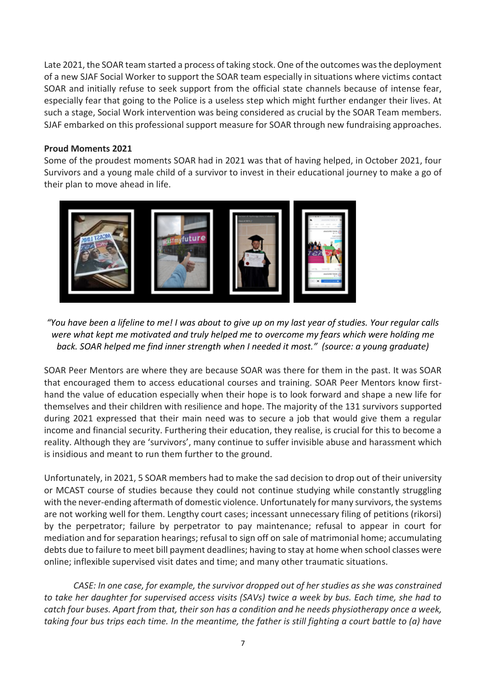Late 2021, the SOAR team started a process of taking stock. One of the outcomes was the deployment of a new SJAF Social Worker to support the SOAR team especially in situations where victims contact SOAR and initially refuse to seek support from the official state channels because of intense fear, especially fear that going to the Police is a useless step which might further endanger their lives. At such a stage, Social Work intervention was being considered as crucial by the SOAR Team members. SJAF embarked on this professional support measure for SOAR through new fundraising approaches.

#### **Proud Moments 2021**

Some of the proudest moments SOAR had in 2021 was that of having helped, in October 2021, four Survivors and a young male child of a survivor to invest in their educational journey to make a go of their plan to move ahead in life.



*"You have been a lifeline to me! I was about to give up on my last year of studies. Your regular calls were what kept me motivated and truly helped me to overcome my fears which were holding me back. SOAR helped me find inner strength when I needed it most." (source: a young graduate)*

SOAR Peer Mentors are where they are because SOAR was there for them in the past. It was SOAR that encouraged them to access educational courses and training. SOAR Peer Mentors know firsthand the value of education especially when their hope is to look forward and shape a new life for themselves and their children with resilience and hope. The majority of the 131 survivors supported during 2021 expressed that their main need was to secure a job that would give them a regular income and financial security. Furthering their education, they realise, is crucial for this to become a reality. Although they are 'survivors', many continue to suffer invisible abuse and harassment which is insidious and meant to run them further to the ground.

Unfortunately, in 2021, 5 SOAR members had to make the sad decision to drop out of their university or MCAST course of studies because they could not continue studying while constantly struggling with the never-ending aftermath of domestic violence. Unfortunately for many survivors, the systems are not working well for them. Lengthy court cases; incessant unnecessary filing of petitions (rikorsi) by the perpetrator; failure by perpetrator to pay maintenance; refusal to appear in court for mediation and for separation hearings; refusal to sign off on sale of matrimonial home; accumulating debts due to failure to meet bill payment deadlines; having to stay at home when school classes were online; inflexible supervised visit dates and time; and many other traumatic situations.

*CASE: In one case, for example, the survivor dropped out of her studies as she was constrained to take her daughter for supervised access visits (SAVs) twice a week by bus. Each time, she had to catch four buses. Apart from that, their son has a condition and he needs physiotherapy once a week, taking four bus trips each time. In the meantime, the father is still fighting a court battle to (a) have*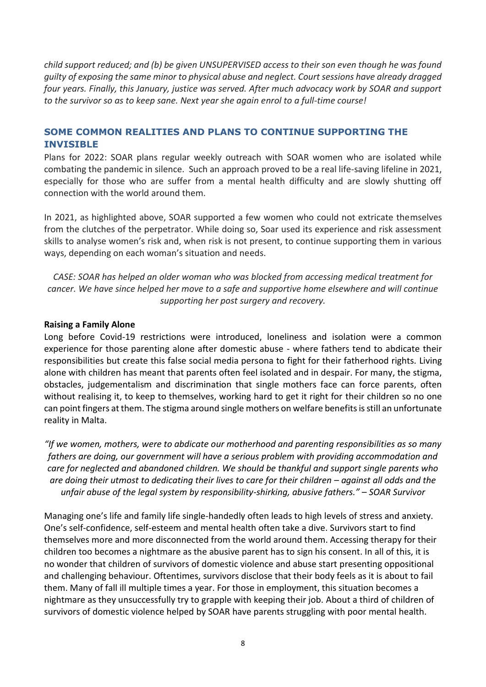*child support reduced; and (b) be given UNSUPERVISED access to their son even though he was found guilty of exposing the same minor to physical abuse and neglect. Court sessions have already dragged four years. Finally, this January, justice was served. After much advocacy work by SOAR and support to the survivor so as to keep sane. Next year she again enrol to a full-time course!*

## <span id="page-7-0"></span>**SOME COMMON REALITIES AND PLANS TO CONTINUE SUPPORTING THE INVISIBLE**

Plans for 2022: SOAR plans regular weekly outreach with SOAR women who are isolated while combating the pandemic in silence. Such an approach proved to be a real life-saving lifeline in 2021, especially for those who are suffer from a mental health difficulty and are slowly shutting off connection with the world around them.

In 2021, as highlighted above, SOAR supported a few women who could not extricate themselves from the clutches of the perpetrator. While doing so, Soar used its experience and risk assessment skills to analyse women's risk and, when risk is not present, to continue supporting them in various ways, depending on each woman's situation and needs.

*CASE: SOAR has helped an older woman who was blocked from accessing medical treatment for cancer. We have since helped her move to a safe and supportive home elsewhere and will continue supporting her post surgery and recovery.*

#### **Raising a Family Alone**

Long before Covid-19 restrictions were introduced, loneliness and isolation were a common experience for those parenting alone after domestic abuse - where fathers tend to abdicate their responsibilities but create this false social media persona to fight for their fatherhood rights. Living alone with children has meant that parents often feel isolated and in despair. For many, the stigma, obstacles, judgementalism and discrimination that single mothers face can force parents, often without realising it, to keep to themselves, working hard to get it right for their children so no one can point fingers at them. The stigma around single mothers on welfare benefits is still an unfortunate reality in Malta.

*"If we women, mothers, were to abdicate our motherhood and parenting responsibilities as so many fathers are doing, our government will have a serious problem with providing accommodation and care for neglected and abandoned children. We should be thankful and support single parents who are doing their utmost to dedicating their lives to care for their children – against all odds and the unfair abuse of the legal system by responsibility-shirking, abusive fathers." – SOAR Survivor*

Managing one's life and family life single-handedly often leads to high levels of stress and anxiety. One's self-confidence, self-esteem and mental health often take a dive. Survivors start to find themselves more and more disconnected from the world around them. Accessing therapy for their children too becomes a nightmare as the abusive parent has to sign his consent. In all of this, it is no wonder that children of survivors of domestic violence and abuse start presenting oppositional and challenging behaviour. Oftentimes, survivors disclose that their body feels as it is about to fail them. Many of fall ill multiple times a year. For those in employment, this situation becomes a nightmare as they unsuccessfully try to grapple with keeping their job. About a third of children of survivors of domestic violence helped by SOAR have parents struggling with poor mental health.